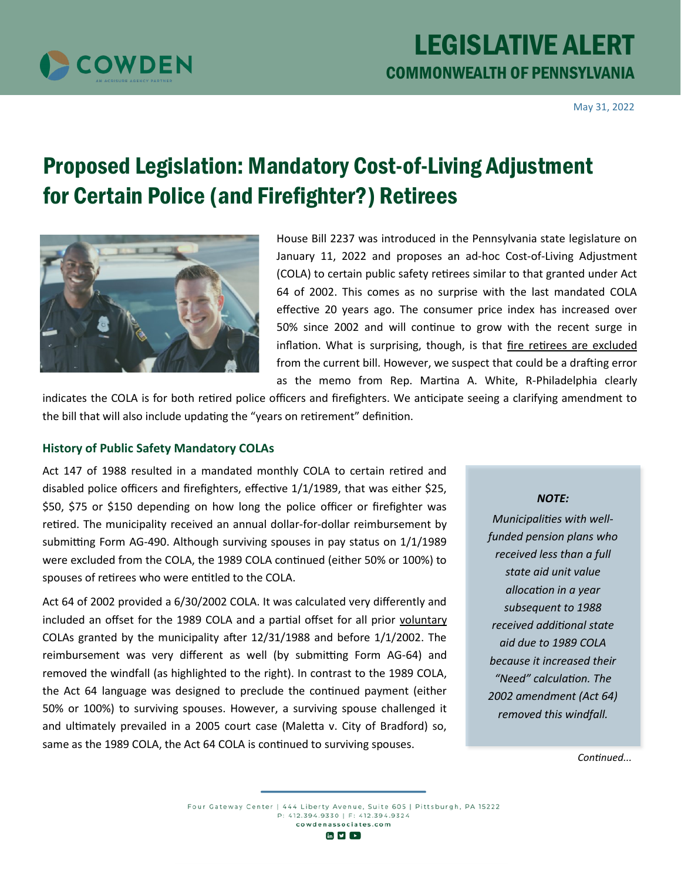

May 31, 2022

# Proposed Legislation: Mandatory Cost-of-Living Adjustment for Certain Police (and Firefighter?) Retirees



House Bill 2237 was introduced in the Pennsylvania state legislature on January 11, 2022 and proposes an ad-hoc Cost-of-Living Adjustment (COLA) to certain public safety retirees similar to that granted under Act 64 of 2002. This comes as no surprise with the last mandated COLA effective 20 years ago. The consumer price index has increased over 50% since 2002 and will continue to grow with the recent surge in inflation. What is surprising, though, is that fire retirees are excluded from the current bill. However, we suspect that could be a drafting error as the memo from Rep. Martina A. White, R-Philadelphia clearly

indicates the COLA is for both retired police officers and firefighters. We anticipate seeing a clarifying amendment to the bill that will also include updating the "years on retirement" definition.

#### **History of Public Safety Mandatory COLAs**

Act 147 of 1988 resulted in a mandated monthly COLA to certain retired and disabled police officers and firefighters, effective 1/1/1989, that was either \$25, \$50, \$75 or \$150 depending on how long the police officer or firefighter was retired. The municipality received an annual dollar-for-dollar reimbursement by submitting Form AG-490. Although surviving spouses in pay status on 1/1/1989 were excluded from the COLA, the 1989 COLA continued (either 50% or 100%) to spouses of retirees who were entitled to the COLA.

Act 64 of 2002 provided a 6/30/2002 COLA. It was calculated very differently and included an offset for the 1989 COLA and a partial offset for all prior voluntary COLAs granted by the municipality after 12/31/1988 and before 1/1/2002. The reimbursement was very different as well (by submitting Form AG-64) and removed the windfall (as highlighted to the right). In contrast to the 1989 COLA, the Act 64 language was designed to preclude the continued payment (either 50% or 100%) to surviving spouses. However, a surviving spouse challenged it and ultimately prevailed in a 2005 court case (Maletta v. City of Bradford) so, same as the 1989 COLA, the Act 64 COLA is continued to surviving spouses.

#### *NOTE:*

*Municipalities with wellfunded pension plans who received less than a full state aid unit value allocation in a year subsequent to 1988 received additional state aid due to 1989 COLA because it increased their "Need" calculation. The 2002 amendment (Act 64) removed this windfall.*

*Continued...*

Four Gateway Center | 444 Liberty Avenue, Suite 605 | Pittsburgh, PA 15222 P: 412.394.9330 | F: 412.394.9324 cowdenassociates.com